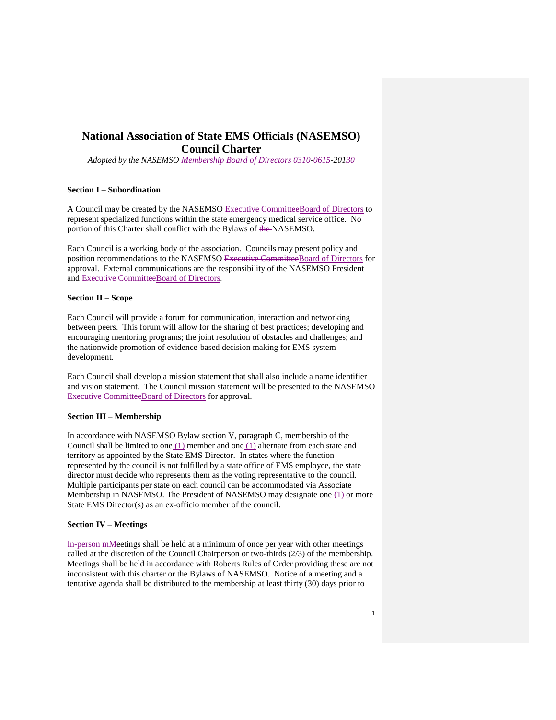# **National Association of State EMS Officials (NASEMSO) Council Charter**

*Adopted by the NASEMSO Membership Board of Directors 0310-0615-20130*

#### **Section I – Subordination**

A Council may be created by the NASEMSO Executive CommitteeBoard of Directors to represent specialized functions within the state emergency medical service office. No portion of this Charter shall conflict with the Bylaws of the NASEMSO.

Each Council is a working body of the association. Councils may present policy and position recommendations to the NASEMSO Executive CommitteeBoard of Directors for approval. External communications are the responsibility of the NASEMSO President and Executive CommitteeBoard of Directors.

### **Section II – Scope**

Each Council will provide a forum for communication, interaction and networking between peers. This forum will allow for the sharing of best practices; developing and encouraging mentoring programs; the joint resolution of obstacles and challenges; and the nationwide promotion of evidence-based decision making for EMS system development.

Each Council shall develop a mission statement that shall also include a name identifier and vision statement. The Council mission statement will be presented to the NASEMSO Executive CommitteeBoard of Directors for approval.

#### **Section III – Membership**

In accordance with NASEMSO Bylaw section V, paragraph C, membership of the Council shall be limited to one (1) member and one (1) alternate from each state and territory as appointed by the State EMS Director. In states where the function represented by the council is not fulfilled by a state office of EMS employee, the state director must decide who represents them as the voting representative to the council. Multiple participants per state on each council can be accommodated via Associate Membership in NASEMSO. The President of NASEMSO may designate one (1) or more State EMS Director(s) as an ex-officio member of the council.

#### **Section IV – Meetings**

In-person mMeetings shall be held at a minimum of once per year with other meetings called at the discretion of the Council Chairperson or two-thirds (2/3) of the membership. Meetings shall be held in accordance with Roberts Rules of Order providing these are not inconsistent with this charter or the Bylaws of NASEMSO. Notice of a meeting and a tentative agenda shall be distributed to the membership at least thirty (30) days prior to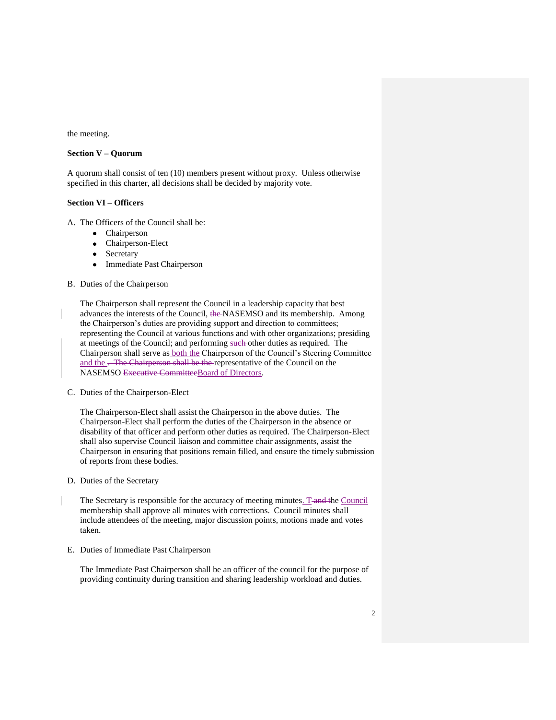the meeting.

### **Section V – Quorum**

A quorum shall consist of ten (10) members present without proxy. Unless otherwise specified in this charter, all decisions shall be decided by majority vote.

## **Section VI – Officers**

A. The Officers of the Council shall be:

- Chairperson
- Chairperson-Elect  $\bullet$
- Secretary  $\bullet$
- Immediate Past Chairperson  $\bullet$
- B. Duties of the Chairperson

The Chairperson shall represent the Council in a leadership capacity that best advances the interests of the Council, the NASEMSO and its membership. Among the Chairperson's duties are providing support and direction to committees; representing the Council at various functions and with other organizations; presiding at meetings of the Council; and performing such other duties as required. The Chairperson shall serve as both the Chairperson of the Council's Steering Committee and the . The Chairperson shall be the representative of the Council on the NASEMSO Executive CommitteeBoard of Directors.

C. Duties of the Chairperson-Elect

The Chairperson-Elect shall assist the Chairperson in the above duties. The Chairperson-Elect shall perform the duties of the Chairperson in the absence or disability of that officer and perform other duties as required. The Chairperson-Elect shall also supervise Council liaison and committee chair assignments, assist the Chairperson in ensuring that positions remain filled, and ensure the timely submission of reports from these bodies.

- D. Duties of the Secretary
- The Secretary is responsible for the accuracy of meeting minutes. T and the Council membership shall approve all minutes with corrections. Council minutes shall include attendees of the meeting, major discussion points, motions made and votes taken.
- E. Duties of Immediate Past Chairperson

The Immediate Past Chairperson shall be an officer of the council for the purpose of providing continuity during transition and sharing leadership workload and duties.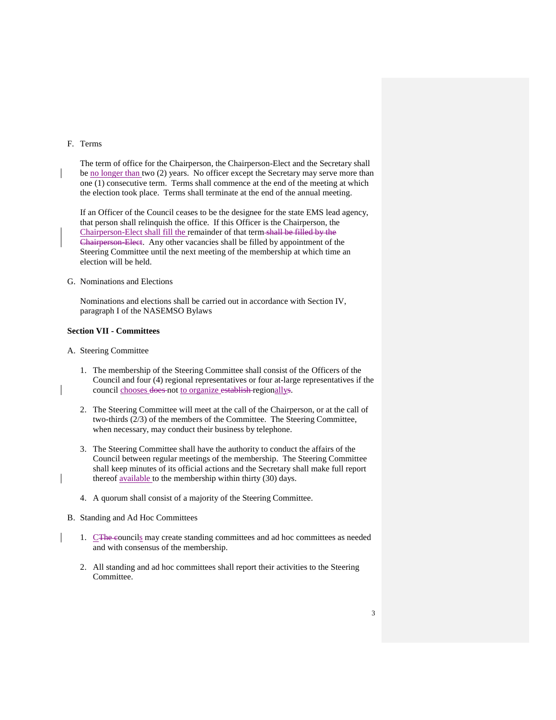#### F. Terms

The term of office for the Chairperson, the Chairperson-Elect and the Secretary shall be no longer than two (2) years. No officer except the Secretary may serve more than one (1) consecutive term. Terms shall commence at the end of the meeting at which the election took place. Terms shall terminate at the end of the annual meeting.

If an Officer of the Council ceases to be the designee for the state EMS lead agency, that person shall relinquish the office. If this Officer is the Chairperson, the Chairperson-Elect shall fill the remainder of that term shall be filled by the Chairperson-Elect. Any other vacancies shall be filled by appointment of the Steering Committee until the next meeting of the membership at which time an election will be held.

G. Nominations and Elections

Nominations and elections shall be carried out in accordance with Section IV, paragraph I of the NASEMSO Bylaws

### **Section VII - Committees**

- A. Steering Committee
	- 1. The membership of the Steering Committee shall consist of the Officers of the Council and four (4) regional representatives or four at-large representatives if the council chooses does not to organize establish regionallys.
	- 2. The Steering Committee will meet at the call of the Chairperson, or at the call of two-thirds (2/3) of the members of the Committee. The Steering Committee, when necessary, may conduct their business by telephone.
	- 3. The Steering Committee shall have the authority to conduct the affairs of the Council between regular meetings of the membership. The Steering Committee shall keep minutes of its official actions and the Secretary shall make full report thereof available to the membership within thirty (30) days.
	- 4. A quorum shall consist of a majority of the Steering Committee.
- B. Standing and Ad Hoc Committees
	- 1. CThe councils may create standing committees and ad hoc committees as needed and with consensus of the membership.
	- 2. All standing and ad hoc committees shall report their activities to the Steering Committee.